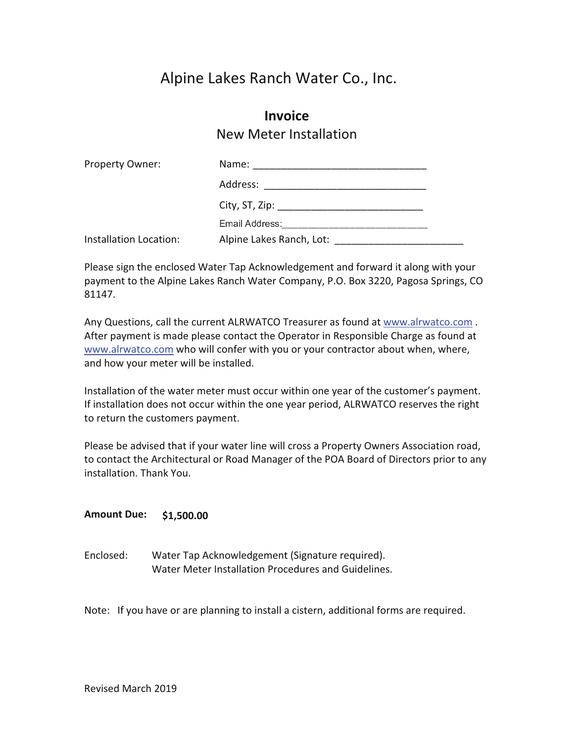# Alpine Lakes Ranch Water Co., Inc.

## **Invoice** New Meter Installation

| Property Owner:        | Name:<br>the control of the control of the control of the control of the control of the control of the control of the control of the control of the control of the control of the control of the control of the control of the control |  |  |  |
|------------------------|----------------------------------------------------------------------------------------------------------------------------------------------------------------------------------------------------------------------------------------|--|--|--|
|                        | Address:                                                                                                                                                                                                                               |  |  |  |
|                        | City, ST, Zip: ___________________________________                                                                                                                                                                                     |  |  |  |
|                        | Email Address:                                                                                                                                                                                                                         |  |  |  |
| Installation Location: | Alpine Lakes Ranch, Lot:                                                                                                                                                                                                               |  |  |  |

Please sign the enclosed Water Tap Acknowledgement and forward it along with your payment to the Alpine Lakes Ranch Water Company, P.O. Box 3220, Pagosa Springs, CO 81147.

Any Questions, call the current ALRWATCO Treasurer as found at www.alrwatco.com . After payment is made please contact the Operator in Responsible Charge as found at www.alrwatco.com who will confer with you or your contractor about when, where, and how your meter will be installed.

Installation of the water meter must occur within one year of the customer's payment. If installation does not occur within the one year period, ALRWATCO reserves the right to return the customers payment.

Please be advised that if your water line will cross a Property Owners Association road, to contact the Architectural or Road Manager of the POA Board of Directors prior to any installation. Thank You.

#### **Amount Due:!!!! \$1,500.00**

Enclosed: Water Tap Acknowledgement (Signature required). Water Meter Installation Procedures and Guidelines.

Note: If you have or are planning to install a cistern, additional forms are required.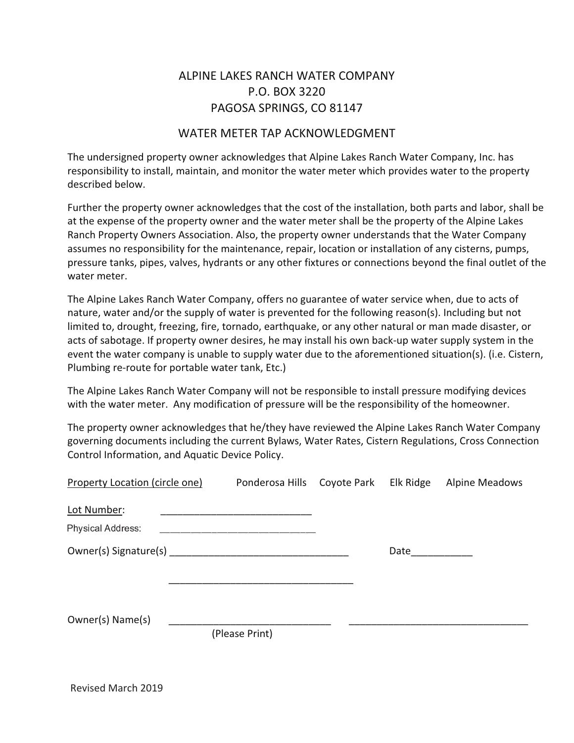## ALPINE LAKES RANCH WATER COMPANY P.O. BOX 3220 PAGOSA SPRINGS, CO 81147

### WATER METER TAP ACKNOWLEDGMENT

The undersigned property owner acknowledges that Alpine Lakes Ranch Water Company, Inc. has responsibility to install, maintain, and monitor the water meter which provides water to the property described below.

Further the property owner acknowledges that the cost of the installation, both parts and labor, shall be at the expense of the property owner and the water meter shall be the property of the Alpine Lakes Ranch Property Owners Association. Also, the property owner understands that the Water Company assumes no responsibility for the maintenance, repair, location or installation of any cisterns, pumps, pressure tanks, pipes, valves, hydrants or any other fixtures or connections beyond the final outlet of the water meter.

The Alpine Lakes Ranch Water Company, offers no guarantee of water service when, due to acts of nature, water and/or the supply of water is prevented for the following reason(s). Including but not limited to, drought, freezing, fire, tornado, earthquake, or any other natural or man made disaster, or acts of sabotage. If property owner desires, he may install his own back-up water supply system in the event the water company is unable to supply water due to the aforementioned situation(s). (i.e. Cistern, Plumbing re-route for portable water tank, Etc.)

The Alpine Lakes Ranch Water Company will not be responsible to install pressure modifying devices with the water meter. Any modification of pressure will be the responsibility of the homeowner.

The property owner acknowledges that he/they have reviewed the Alpine Lakes Ranch Water Company governing documents including the current Bylaws, Water Rates, Cistern Regulations, Cross Connection Control Information, and Aquatic Device Policy.

| <b>Property Location (circle one)</b>                                                                          |                |  |      | Ponderosa Hills Coyote Park Elk Ridge Alpine Meadows |
|----------------------------------------------------------------------------------------------------------------|----------------|--|------|------------------------------------------------------|
| Lot Number:                                                                                                    |                |  |      |                                                      |
| Physical Address:                                                                                              |                |  |      |                                                      |
| Owner(s) Signature(s) Management Communications and Communications and Communications and Communications and C |                |  | Date |                                                      |
|                                                                                                                |                |  |      |                                                      |
|                                                                                                                |                |  |      |                                                      |
| Owner(s) Name(s)                                                                                               |                |  |      |                                                      |
|                                                                                                                | (Please Print) |  |      |                                                      |

Revised March 2019